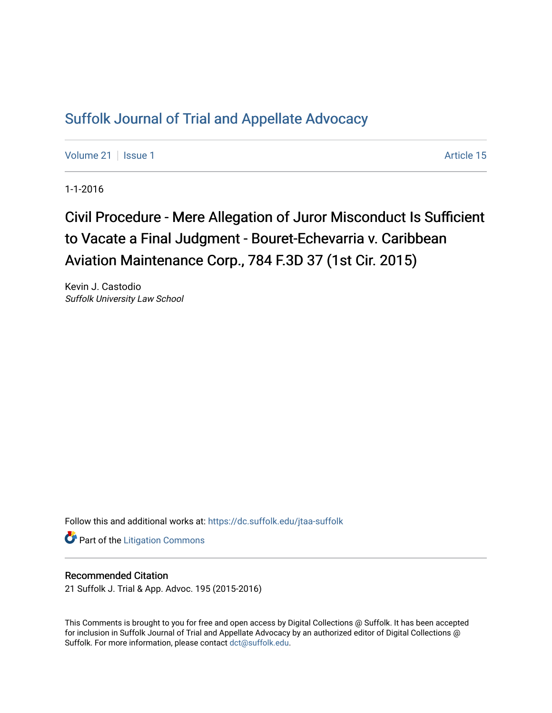## [Suffolk Journal of Trial and Appellate Advocacy](https://dc.suffolk.edu/jtaa-suffolk)

[Volume 21](https://dc.suffolk.edu/jtaa-suffolk/vol21) | [Issue 1](https://dc.suffolk.edu/jtaa-suffolk/vol21/iss1) Article 15

1-1-2016

# Civil Procedure - Mere Allegation of Juror Misconduct Is Sufficient to Vacate a Final Judgment - Bouret-Echevarria v. Caribbean Aviation Maintenance Corp., 784 F.3D 37 (1st Cir. 2015)

Kevin J. Castodio Suffolk University Law School

Follow this and additional works at: [https://dc.suffolk.edu/jtaa-suffolk](https://dc.suffolk.edu/jtaa-suffolk?utm_source=dc.suffolk.edu%2Fjtaa-suffolk%2Fvol21%2Fiss1%2F15&utm_medium=PDF&utm_campaign=PDFCoverPages) 

**Part of the [Litigation Commons](https://network.bepress.com/hgg/discipline/910?utm_source=dc.suffolk.edu%2Fjtaa-suffolk%2Fvol21%2Fiss1%2F15&utm_medium=PDF&utm_campaign=PDFCoverPages)** 

#### Recommended Citation

21 Suffolk J. Trial & App. Advoc. 195 (2015-2016)

This Comments is brought to you for free and open access by Digital Collections @ Suffolk. It has been accepted for inclusion in Suffolk Journal of Trial and Appellate Advocacy by an authorized editor of Digital Collections @ Suffolk. For more information, please contact [dct@suffolk.edu.](mailto:dct@suffolk.edu)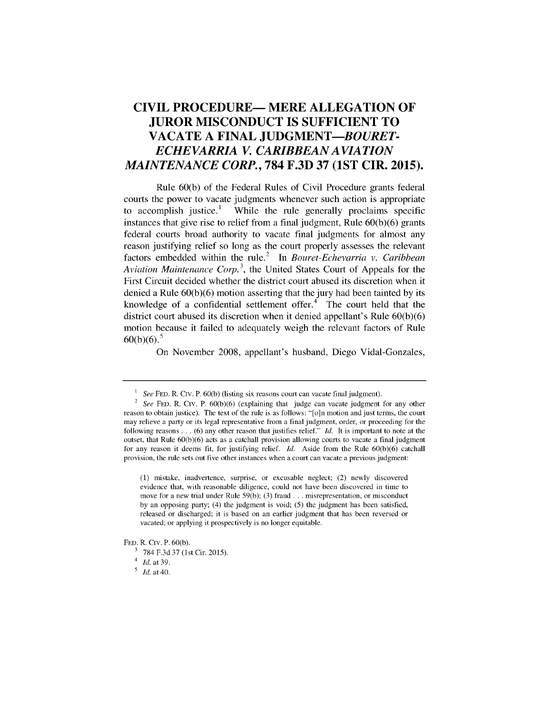### **CIVIL PROCEDURE- MERE ALLEGATION OF JUROR MISCONDUCT IS SUFFICIENT TO VACATE A FINAL** *JUDGMENT-BOURET-ECHEVARRIA V. CARIBBEAN A VIA TION MAINTENANCE CORP.,* **784 F.3D 37 (1ST CIR. 2015).**

Rule 60(b) of the Federal Rules of Civil Procedure grants federal courts the power to vacate judgments whenever such action is appropriate to accomplish justice.<sup>1</sup> While the rule generally proclaims specific instances that give rise to relief from a final judgment, Rule 60(b)(6) grants federal courts broad authority to vacate final judgments for almost any reason justifying relief so long as the court properly assesses the relevant factors embedded within the rule.<sup>2</sup> In *Bouret-Echevarria v. Caribbean Aviation Maintenance Corp.*<sup>3</sup>, the United States Court of Appeals for the First Circuit decided whether the district court abused its discretion when it denied a Rule **60(b)(6)** motion asserting that the jury had been tainted **by** its knowledge of a confidential settlement offer. $4$  The court held that the district court abused its discretion when it denied appellant's Rule **60(b)(6)** motion because it failed to adequately weigh the relevant factors of Rule  $60(b)(6)$ .<sup>5</sup>

On November 2008, appellant's husband, Diego Vidal-Gonzales,

<sup>&</sup>lt;sup>1</sup> See FED. R. CIV. P. 60(b) (listing six reasons court can vacate final judgment).

<sup>2</sup> *See* FED. R. Civ. P. 60(b)(6) (explaining that judge can vacate judgment for any other reason to obtain justice). The text of the rule is as follows: "[o]n motion and just terms, the court may relieve a party or its legal representative from a final judgment, order, or proceeding for the following reasons ... (6) any other reason that justifies relief." *Id.* It is important to note at the outset, that Rule 60(b)(6) acts as a catchall provision allowing courts to vacate a final judgment for any reason it deems fit, for justifying relief. *Id.* Aside from the Rule 60(b)(6) catchall provision, the rule sets out five other instances when a court can vacate a previous judgment:

<sup>(1)</sup> mistake, inadvertence, surprise, or excusable neglect; (2) newly discovered evidence that, with reasonable diligence, could not have been discovered in time to move for a new trial under Rule 59(b); (3) fraud **...** misrepresentation, or misconduct by an opposing party; (4) the judgment is void; (5) the judgment has been satisfied, released or discharged; it is based on an earlier judgment that has been reversed or vacated; or applying it prospectively is no longer equitable.

FED. R. Civ. P. 60(b).

**<sup>3</sup>**784 F.3d 37 (1st Cir. 2015).

<sup>4</sup>*Id.* at 39.

*<sup>&#</sup>x27; Id.* at 40.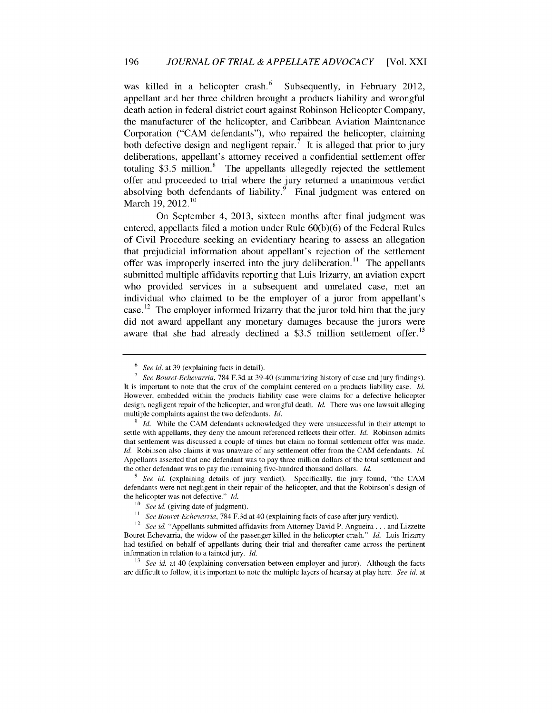was killed in a helicopter crash. Subsequently, in February 2012, appellant and her three children brought a products liability and wrongful death action in federal district court against Robinson Helicopter Company, the manufacturer of the helicopter, and Caribbean Aviation Maintenance Corporation ("CAM defendants"), who repaired the helicopter, claiming both defective design and negligent repair.<sup>7</sup> It is alleged that prior to jury deliberations, appellant's attorney received a confidential settlement offer totaling  $$3.5$  million.<sup>8</sup> The appellants allegedly rejected the settlement offer and proceeded to trial where the jury returned a unanimous verdict absolving both defendants of liability.<sup>9</sup> Final judgment was entered on March 19,  $2012.<sup>10</sup>$ 

On September 4, 2013, sixteen months after final judgment was entered, appellants filed a motion under Rule 60(b)(6) of the Federal Rules of Civil Procedure seeking an evidentiary hearing to assess an allegation that prejudicial information about appellant's rejection of the settlement offer was improperly inserted into the jury deliberation.<sup>11</sup> The appellants submitted multiple affidavits reporting that Luis Irizarry, an aviation expert who provided services in a subsequent and unrelated case, met an individual who claimed to be the employer of a juror from appellant's case.<sup>12</sup> The employer informed Irizarry that the juror told him that the jury did not award appellant any monetary damages because the jurors were aware that she had already declined a \$3.5 million settlement offer.<sup>13</sup>

**13** *See id.* at 40 (explaining conversation between employer and juror). Although the facts are difficult to follow, it is important to note the multiple layers of hearsay at play here. *See id.* at

<sup>6</sup> *See id.* at 39 (explaining facts in detail).

*<sup>7</sup>See Bouret-Echevarria,* 784 F.3d at 39-40 (summarizing history of case and jury findings). It is important to note that the crux of the complaint centered on a products liability case. *Id.* However, embedded within the products liability case were claims for a defective helicopter design, negligent repair of the helicopter, and wrongful death. *Id.* There was one lawsuit alleging multiple complaints against the two defendants. *Id.*

*Id.* While the CAM defendants acknowledged they were unsuccessful in their attempt to settle with appellants, they deny the amount referenced reflects their offer. *Id.* Robinson admits that settlement was discussed a couple of times but claim no formal settlement offer was made. *ld.* Robinson also claims it was unaware of any settlement offer from the CAM defendants. *Id.* Appellants asserted that one defendant was to pay three million dollars of the total settlement and the other defendant was to pay the remaining five-hundred thousand dollars. *ld.*

*See id.* (explaining details of jury verdict). Specifically, the jury found, "the CAM defendants were not negligent in their repair of the helicopter, and that the Robinson's design of the helicopter was not defective." *Id.*

<sup>&</sup>lt;sup>10</sup> *See id.* (giving date of judgment).

<sup>&</sup>lt;sup>11</sup> See Bouret-Echevarria, 784 F.3d at 40 (explaining facts of case after jury verdict).

<sup>12</sup> *See id.* "Appellants submitted affidavits from Attorney David P. Angueira **...** and Lizzette Bouret-Echevarria, the widow of the passenger killed in the helicopter crash." *ld.* Luis Irizarry had testified on behalf of appellants during their trial and thereafter came across the pertinent information in relation to a tainted jury. *Id.*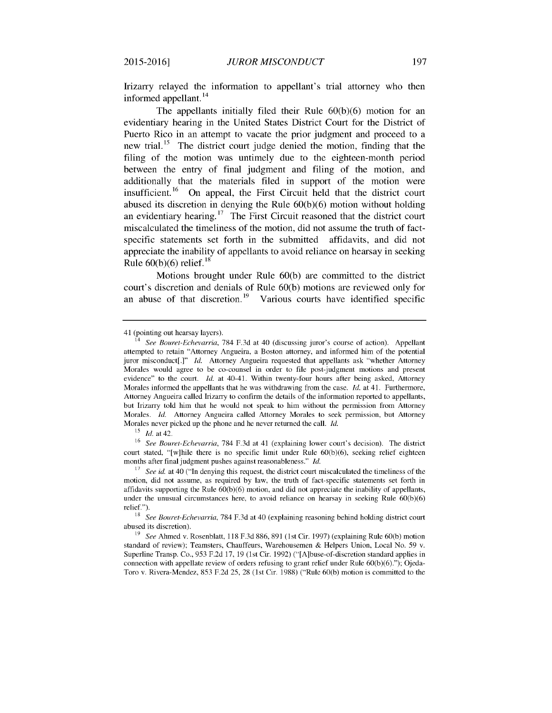Irizarry relayed the information to appellant's trial attorney who then informed appellant.<sup>14</sup>

The appellants initially filed their Rule 60(b)(6) motion for an evidentiary hearing in the United States District Court for the District of Puerto Rico in an attempt to vacate the prior judgment and proceed to a new trial.<sup>15</sup> The district court judge denied the motion, finding that the filing of the motion was untimely due to the eighteen-month period between the entry of final judgment and filing of the motion, and additionally that the materials filed in support of the motion were insufficient.<sup>16</sup> On appeal, the First Circuit held that the district court abused its discretion in denying the Rule 60(b)(6) motion without holding an evidentiary hearing.<sup>17</sup> The First Circuit reasoned that the district court miscalculated the timeliness of the motion, did not assume the truth of factspecific statements set forth in the submitted affidavits, and did not appreciate the inability of appellants to avoid reliance on hearsay in seeking Rule  $60(b)(6)$  relief.<sup>18</sup>

Motions brought under Rule 60(b) are committed to the district court's discretion and denials of Rule 60(b) motions are reviewed only for an abuse of that discretion.<sup>19</sup> Various courts have identified specific

<sup>41 (</sup>pointing out hearsay layers).

<sup>14</sup>*See Bouret-Echevarria,* 784 F.3d at 40 (discussing juror's course of action). Appellant attempted to retain "Attorney Angueira, a Boston attorney, and informed him of the potential juror misconduct[.]" *Id.* Attorney Angueira requested that appellants ask "whether Attorney Morales would agree to be co-counsel in order to file post-judgment motions and present evidence" to the court.  $Id$  at 40-41. Within twenty-four hours after being asked, Attorney Morales informed the appellants that he was withdrawing from the case. Id. at 41. Furthermore, Attorney Angueira called Irizarry to confirm the details of the information reported to appellants, but Irizarry told him that he would not speak to him without the permission from Attorney Morales. ld. Attorney Angueira called Attorney Morales to seek permission, but Attorney Morales never picked up the phone and he never returned the call. *Id.* 

 $15$  *Id.* at 42.

<sup>&</sup>lt;sup>16</sup> See Bouret-Echevarria, 784 F.3d at 41 (explaining lower court's decision). The district court stated, "[w]hile there is no specific limit under Rule 60(b)(6), seeking relief eighteen months after final judgment pushes against reasonableness." ld.

**<sup>17</sup>** *See id.* at 40 ("In denying this request, the district court miscalculated the timeliness of the motion, did not assume, as required by law, the truth of fact-specific statements set forth in affidavits supporting the Rule 60(b)(6) motion, and did not appreciate the inability of appellants, under the unusual circumstances here, to avoid reliance on hearsay in seeking Rule 60(b)(6) relief.").

**<sup>18</sup>** *See Bouret-Echevarria,* 784 F.3d at 40 (explaining reasoning behind holding district court abused its discretion).

<sup>19</sup> *See* Ahmed v. Rosenblatt, 118 F.3d 886, 891 (1st Cir. 1997) (explaining Rule 60(b) motion standard of review); Teamsters, Chauffeurs, Warehousemen & Helpers Union, Local No. 59 v. Superline Transp. Co., 953 F.2d 17, 19 (1st Cir. 1992) ("[A]buse-of-discretion standard applies in connection with appellate review of orders refusing to grant relief under Rule  $60(b)(6)$ ."); Ojeda-Toro v. Rivera-Mendez, 853 F.2d 25, 28 (1st Cir. 1988) ("Rule 60(b) motion is committed to the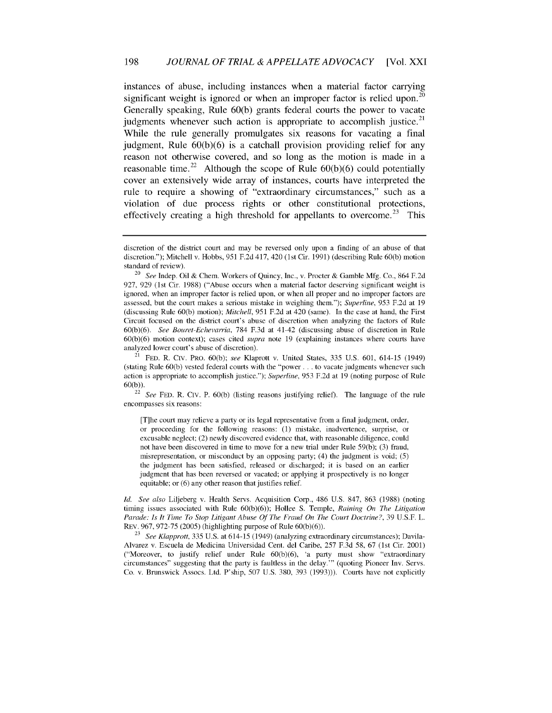instances of abuse, including instances when a material factor carrying significant weight is ignored or when an improper factor is relied upon.<sup>20</sup> Generally speaking, Rule 60(b) grants federal courts the power to vacate judgments whenever such action is appropriate to accomplish justice.<sup>21</sup> While the rule generally promulgates six reasons for vacating a final judgment, Rule 60(b)(6) is a catchall provision providing relief for any reason not otherwise covered, and so long as the motion is made in a reasonable time.<sup>22</sup> Although the scope of Rule  $60(b)(6)$  could potentially cover an extensively wide array of instances, courts have interpreted the rule to require a showing of "extraordinary circumstances," such as a violation of due process rights or other constitutional protections, effectively creating a high threshold for appellants to overcome.<sup>23</sup> This

discretion of the district court and may be reversed only upon a finding of an abuse of that discretion."); Mitchell v. Hobbs, 951 F.2d 417, 420 (1st Cir. 1991) (describing Rule 60(b) motion standard of review).

<sup>20</sup>*See* Indep. Oil & Chem. Workers of Quincy, Inc., v. Procter & Gamble Mfg. Co., 864 F.2d 927, 929 (1st Cir. 1988) ("Abuse occurs when a material factor deserving significant weight is ignored, when an improper factor is relied upon, or when all proper and no improper factors are assessed, but the court makes a serious mistake in weighing them."); *Superline,* 953 F.2d at 19 (discussing Rule 60(b) motion); *Mitchell,* 951 F.2d at 420 (same). In the case at hand, the First Circuit focused on the district court's abuse of discretion when analyzing the factors of Rule 60(b)(6). *See Bouret-Echevarria,* 784 F.3d at 41-42 (discussing abuse of discretion in Rule 60(b)(6) motion context); cases cited *supra* note 19 (explaining instances where courts have analyzed lower court's abuse of discretion).

<sup>21</sup>FED. R. Crw. PRO. 60(b); *see* Klaprott v. United States, 335 U.S. 601, 614-15 (1949) (stating Rule 60(b) vested federal courts with the "power... to vacate judgments whenever such action is appropriate to accomplish justice."); *Superline,* 953 F.2d at 19 (noting purpose of Rule 60(b)).

<sup>22</sup>*See* FED. R. CIV. P. 60(b) (listing reasons justifying relief). The language of the rule encompasses six reasons:

<sup>[</sup>T]he court may relieve a party or its legal representative from a final judgment, order, or proceeding for the following reasons: (1) mistake, inadvertence, surprise, or excusable neglect; (2) newly discovered evidence that, with reasonable diligence, could not have been discovered in time to move for a new trial under Rule 59(b); (3) fraud, misrepresentation, or misconduct by an opposing party; (4) the judgment is void; (5) the judgment has been satisfied, released or discharged; it is based on an earlier judgment that has been reversed or vacated; or applying it prospectively is no longer equitable; or (6) any other reason that justifies relief.

Id. See also Liljeberg v. Health Servs. Acquisition Corp., 486 U.S. 847, 863 (1988) (noting timing issues associated with Rule 60(b)(6)); Hollee S. Temple, *Raining On The Litigation Parade: Is It Time To Stop Litigant Abuse Of The Fraud On The Court Doctrine?,* 39 U.S.F. L. REV. 967, 972-75 (2005) (highlighting purpose of Rule 60(b)(6)).

**<sup>23</sup>** *See Klapprott,* 335 U.S. at 614-15 (1949) (analyzing extraordinary circumstances); Davila-Alvarez v. Escuela de Medicina Universidad Cent. del Caribe, 257 F.3d 58, 67 (1st Cir. 2001) ("Moreover, to justify relief under Rule 60(b)(6), 'a party must show "extraordinary circumstances" suggesting that the party is faultless in the delay."' (quoting Pioneer Inv. Servs. Co. v. Brunswick Assocs. Ltd. P'ship, 507 U.S. 380, 393 (1993))). Courts have not explicitly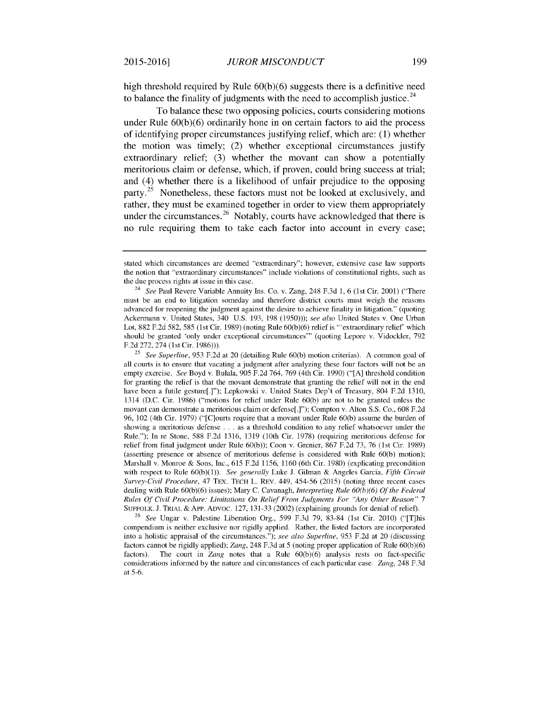high threshold required by Rule 60(b)(6) suggests there is a definitive need to balance the finality of judgments with the need to accomplish justice.<sup>24</sup>

To balance these two opposing policies, courts considering motions under Rule  $60(b)(6)$  ordinarily hone in on certain factors to aid the process of identifying proper circumstances justifying relief, which are: (1) whether the motion was timely; (2) whether exceptional circumstances justify extraordinary relief; (3) whether the movant can show a potentially meritorious claim or defense, which, if proven, could bring success at trial; and (4) whether there is a likelihood of unfair prejudice to the opposing party.<sup>25</sup> Nonetheless, these factors must not be looked at exclusively, and rather, they must be examined together in order to view them appropriately under the circumstances.<sup>26</sup> Notably, courts have acknowledged that there is no rule requiring them to take each factor into account in every case;

<sup>25</sup>*See Superline,* 953 F.2d at 20 (detailing Rule 60(b) motion criterias). A common goal of all courts is to ensure that vacating a judgment after analyzing these four factors will not be an empty exercise. *See* Boyd v. Bulala, 905 F.2d 764, 769 (4th Cir. 1990) **("[A]** threshold condition for granting the relief is that the movant demonstrate that granting the relief will not in the end have been a futile gesture[.]"); Lepkowski v. United States Dep't of Treasury, 804 F.2d 1310, 1314 (D.C. Cir. 1986) ("motions for relief under Rule 60(b) are not to be granted unless the movant can demonstrate a meritorious claim or defense[.]"); Compton v. Alton S.S. Co., 608 F.2d 96, 102 (4th Cir. 1979) ("[C]ourts require that a movant under Rule 60(b) assume the burden of showing a meritorious defense . . . as a threshold condition to any relief whatsoever under the Rule."); In re Stone, 588 F.2d 1316, 1319 (10th Cir. 1978) (requiring meritorious defense for relief from final judgment under Rule 60(b)); Coon v. Grenier, 867 F.2d 73, 76 (1st Cir. 1989) (asserting presence or absence of meritorious defense is considered with Rule 60(b) motion); Marshall v. Monroe & Sons, Inc., 615 F.2d 1156, 1160 (6th Cir. 1980) (explicating precondition with respect to Rule 60(b)(1)). *See generally* Luke J. Gilman & Angeles Garcia, *Fifth Circuit Survey-Civil Procedure,* 47 TEx. TECH L. REv. 449, 454-56 (2015) (noting three recent cases dealing with Rule 60(b)(6) issues); Mary C. Cavanagh, *Interpreting Rule 60(b)(6) Of the Federal* Rules Of Civil *Procedure: Limitations On Relief From Judgments For "Any* Other *Reason" 7* SUFFOLK. J. TRIAL & APP. ADVOC. 127, 131-33 (2002) (explaining grounds for denial of relief).

<sup>26</sup>*See* Ungar v. Palestine Liberation Org., 599 F.3d 79, 83-84 (1st Cir. 2010) ("[T]his compendium is neither exclusive nor rigidly applied. Rather, the listed factors are incorporated into a holistic appraisal of the circumstances."); *see also Superline,* 953 F.2d at 20 (discussing factors cannot be rigidly applied); *Zang,* 248 F.3d at 5 (noting proper application of Rule 60(b)(6) factors). The court in *Zang* notes that a Rule 60(b)(6) analysis rests on fact-specific considerations informed by the nature and circumstances of each particular case. *Zang,* 248 F.3d at 5-6.

stated which circumstances are deemed "extraordinary"; however, extensive case law supports the notion that "extraordinary circumstances" include violations of constitutional rights, such as the due process rights at issue in this case.

<sup>24</sup>*See* Paul Revere Variable Annuity Ins. Co. v. Zang, 248 F.3d 1, 6 (1st Cir. 2001) ("There must be an end to litigation someday and therefore district courts must weigh the reasons advanced for reopening the judgment against the desire to achieve finality in litigation." (quoting Ackermann v. United States, 340 U.S. 193, 198 (1950))); *see also* United States v. One Urban Lot, 882 F.2d 582, 585 (1st Cir. 1989) (noting Rule 60(b)(6) relief is "'extraordinary relief' which should be granted 'only under exceptional circumstances"' (quoting Lepore v. Vidockler, 792 F.2d 272, 274 (1st Cir. 1986))).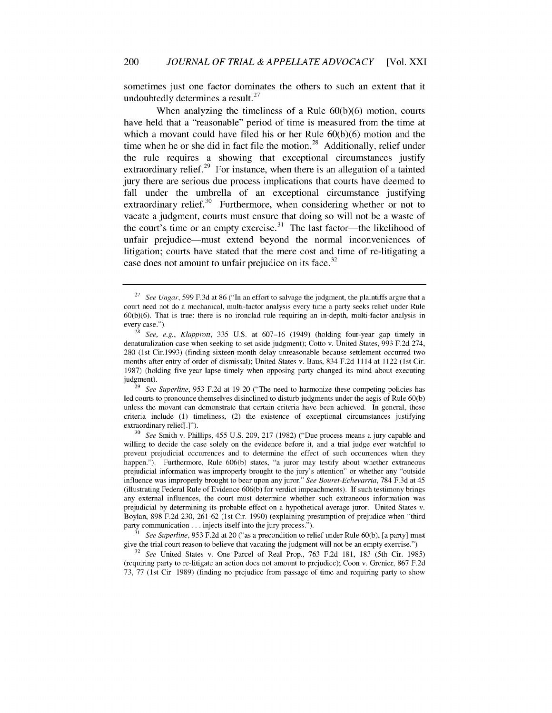sometimes just one factor dominates the others to such an extent that it undoubtedly determines a result. $27$ 

When analyzing the timeliness of a Rule 60(b)(6) motion, courts have held that a "reasonable" period of time is measured from the time at which a movant could have filed his or her Rule 60(b)(6) motion and the time when he or she did in fact file the motion.<sup>28</sup> Additionally, relief under the rule requires a showing that exceptional circumstances justify extraordinary relief.<sup>29</sup> For instance, when there is an allegation of a tainted jury there are serious due process implications that courts have deemed to fall under the umbrella of an exceptional circumstance justifying extraordinary relief. $30$  Furthermore, when considering whether or not to vacate a judgment, courts must ensure that doing so will not be a waste of the court's time or an empty exercise. $31$  The last factor-the likelihood of unfair prejudice-must extend beyond the normal inconveniences of litigation; courts have stated that the mere cost and time of re-litigating a case does not amount to unfair prejudice on its face. $32$ 

<sup>29</sup> See Superline, 953 F.2d at 19-20 ("The need to harmonize these competing policies has led courts to pronounce themselves disinclined to disturb judgments under the aegis of Rule 60(b) unless the movant can demonstrate that certain criteria have been achieved. In general, these criteria include (1) timeliness, (2) the existence of exceptional circumstances justifying extraordinary relief[.]").

**<sup>30</sup>***See* Smith v. Phillips, 455 U.S. 209, 217 (1982) ("Due process means a jury capable and willing to decide the case solely on the evidence before it, and a trial judge ever watchful to prevent prejudicial occurrences and to determine the effect of such occurrences when they happen."). Furthermore, Rule 606(b) states, "a juror may testify about whether extraneous prejudicial information was improperly brought to the jury's attention" or whether any "outside influence was improperly brought to bear upon any juror." *See Bouret-Echevarria,* 784 F.3d at 45 (illustrating Federal Rule of Evidence 606(b) for verdict impeachments). If such testimony brings any external influences, the court must determine whether such extraneous information was prejudicial by determining its probable effect on a hypothetical average juror. United States v. Boylan, 898 F.2d 230, 261-62 (1st Cir. 1990) (explaining presumption of prejudice when "third party communication **...** injects itself into the jury process.").

**<sup>31</sup>***See Superline,* 953 F.2d at 20 ("as a precondition to relief under Rule 60(b), [a party] must give the trial court reason to believe that vacating the judgment will not be an empty exercise.")

**<sup>32</sup>***See* United States v. One Parcel of Real Prop., 763 F.2d 181, 183 (5th Cir. 1985) (requiring party to re-litigate an action does not amount to prejudice); Coon v. Grenier, 867 F.2d 73, 77 (1st Cir. 1989) (finding no prejudice from passage of time and requiring party to show

<sup>&</sup>lt;sup>27</sup> See Ungar, 599 F.3d at 86 ("In an effort to salvage the judgment, the plaintiffs argue that a court need not do a mechanical, multi-factor analysis every time a party seeks relief under Rule 60(b)(6). That is true: there is no ironclad rule requiring an in-depth, multi-factor analysis in every case.").

**<sup>28</sup>***See, e.g., Klapprott,* 335 U.S. at 607-16 (1949) (holding four-year gap timely in denaturalization case when seeking to set aside judgment); Cotto v. United States, 993 F.2d 274, 280 (1st Cir.1993) (finding sixteen-month delay unreasonable because settlement occurred two months after entry of order of dismissal); United States v. Baus, 834 F.2d 1114 at 1122 (1st Cir. 1987) (holding five-year lapse timely when opposing party changed its mind about executing judgment).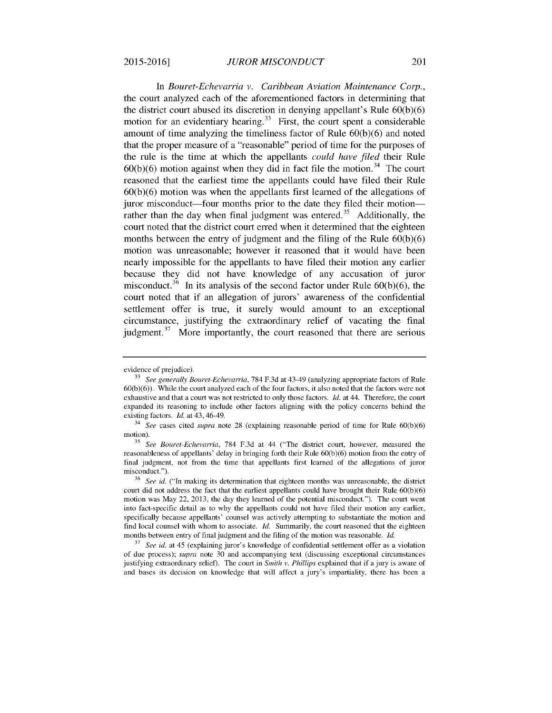In *Bouret-Echevarria v. Caribbean Aviation Maintenance Corp.,* the court analyzed each of the aforementioned factors in determining that the district court abused its discretion in denying appellant's Rule 60(b)(6) motion for an evidentiary hearing.<sup>33</sup> First, the court spent a considerable amount of time analyzing the timeliness factor of Rule 60(b)(6) and noted that the proper measure of a "reasonable" period of time for the purposes of the rule is the time at which the appellants *could have filed* their Rule  $60(b)(6)$  motion against when they did in fact file the motion.<sup>34</sup> The court reasoned that the earliest time the appellants could have filed their Rule 60(b)(6) motion was when the appellants first learned of the allegations of juror misconduct—four months prior to the date they filed their motion rather than the day when final judgment was entered.<sup>35</sup> Additionally, the court noted that the district court erred when it determined that the eighteen months between the entry of judgment and the filing of the Rule 60(b)(6) motion was unreasonable; however it reasoned that it would have been nearly impossible for the appellants to have filed their motion any earlier because they did not have knowledge of any accusation of juror misconduct.<sup>36</sup> In its analysis of the second factor under Rule  $60(b)(6)$ , the court noted that if an allegation of jurors' awareness of the confidential settlement offer is true, it surely would amount to an exceptional circumstance, justifying the extraordinary relief of vacating the final judgment. $37$  More importantly, the court reasoned that there are serious

evidence of prejudice).

**<sup>33</sup>***See generally Bouret-Echevarria,* 784 F.3d at 43-49 (analyzing appropriate factors of Rule 60(b)(6)). While the court analyzed each of the four factors, it also noted that the factors were not exhaustive and that a court was not restricted to only those factors. *Id.* at 44. Therefore, the court expanded its reasoning to include other factors aligning with the policy concerns behind the existing factors. *Id.* at 43, 46-49.

<sup>34</sup>*See* cases cited *supra* note 28 (explaining reasonable period of time for Rule 60(b)(6) motion).

**<sup>35</sup>***See Bouret-Echevarria,* 784 F.3d at 44 ("The district court, however, measured the reasonableness of appellants' delay in bringing forth their Rule 60(b)(6) motion from the entry of final judgment, not from the time that appellants first learned of the allegations of juror misconduct.").

**<sup>36</sup>***See id.* ("In making its determination that eighteen months was unreasonable, the district court did not address the fact that the earliest appellants could have brought their Rule  $60(b)(6)$ motion was May 22, 2013, the day they learned of the potential misconduct."). The court went into fact-specific detail as to why the appellants could not have filed their motion any earlier, specifically because appellants' counsel was actively attempting to substantiate the motion and find local counsel with whom to associate. *ld.* Summarily, the court reasoned that the eighteen months between entry of final judgment and the filing of the motion was reasonable. *Id.*

**<sup>37</sup>***See id.* at 45 (explaining juror's knowledge of confidential settlement offer as a violation of due process); *supra* note 30 and accompanying text (discussing exceptional circumstances justifying extraordinary relief). The court in *Smith v. Phillips* explained that if a jury is aware of and bases its decision on knowledge that will affect a jury's impartiality, there has been a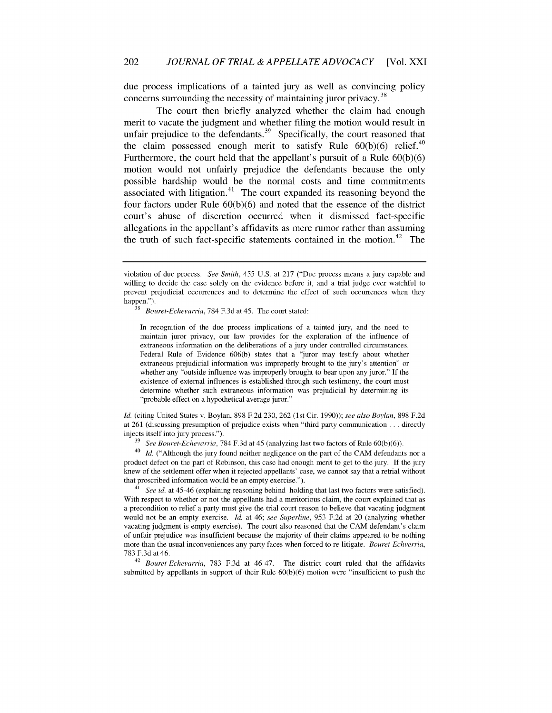due process implications of a tainted jury as well as convincing policy concerns surrounding the necessity of maintaining juror privacy.<sup>38</sup>

The court then briefly analyzed whether the claim had enough merit to vacate the judgment and whether filing the motion would result in unfair prejudice to the defendants. $39$  Specifically, the court reasoned that the claim possessed enough merit to satisfy Rule  $60(b)(6)$  relief.<sup>40</sup> Furthermore, the court held that the appellant's pursuit of a Rule 60(b)(6) motion would not unfairly prejudice the defendants because the only possible hardship would be the normal costs and time commitments associated with litigation.<sup>41</sup> The court expanded its reasoning beyond the four factors under Rule 60(b)(6) and noted that the essence of the district court's abuse of discretion occurred when it dismissed fact-specific allegations in the appellant's affidavits as mere rumor rather than assuming the truth of such fact-specific statements contained in the motion.<sup>42</sup> The

Bouret-Echevarria, 784 F.3d at 45. The court stated:

In recognition of the due process implications of a tainted jury, and the need to maintain juror privacy, our law provides for the exploration of the influence of extraneous information on the deliberations of a jury under controlled circumstances. Federal Rule of Evidence 606(b) states that a "juror may testify about whether extraneous prejudicial information was improperly brought to the jury's attention" or whether any "outside influence was improperly brought to bear upon any juror." If the existence of external influences is established through such testimony, the court must determine whether such extraneous information was prejudicial by determining its "probable effect on a hypothetical average juror."

ld. (citing United States v. Boylan, 898 F.2d 230, 262 (1st Cir. 1990)); see also Boylan, 898 F.2d at 261 (discussing presumption of prejudice exists when "third party communication **...** directly injects itself into jury process.").

<sup>39</sup> See Bouret-Echevarria, 784 F.3d at 45 (analyzing last two factors of Rule 60(b)(6)).

 $^{40}$  *Id.* ("Although the jury found neither negligence on the part of the CAM defendants nor a product defect on the part of Robinson, this case had enough merit to get to the jury. If the jury knew of the settlement offer when it rejected appellants' case, we cannot say that a retrial without that proscribed information would be an empty exercise.").

 $41$  See id. at 45-46 (explaining reasoning behind holding that last two factors were satisfied). With respect to whether or not the appellants had a meritorious claim, the court explained that as a precondition to relief a party must give the trial court reason to believe that vacating judgment would not be an empty exercise. *Id.* at 46; see Superline, 953 F.2d at 20 (analyzing whether vacating judgment is empty exercise). The court also reasoned that the CAM defendant's claim of unfair prejudice was insufficient because the majority of their claims appeared to be nothing more than the usual inconveniences any party faces when forced to re-litigate. Bouret-Echverria, 783 F.3d at 46.

 $42$  Bouret-Echevarria, 783 F.3d at 46-47. The district court ruled that the affidavits submitted by appellants in support of their Rule 60(b)(6) motion were "insufficient to push the

violation of due process. See Smith, 455 U.S. at 217 ("Due process means a jury capable and willing to decide the case solely on the evidence before it, and a trial judge ever watchful to prevent prejudicial occurrences and to determine the effect of such occurrences when they happen.").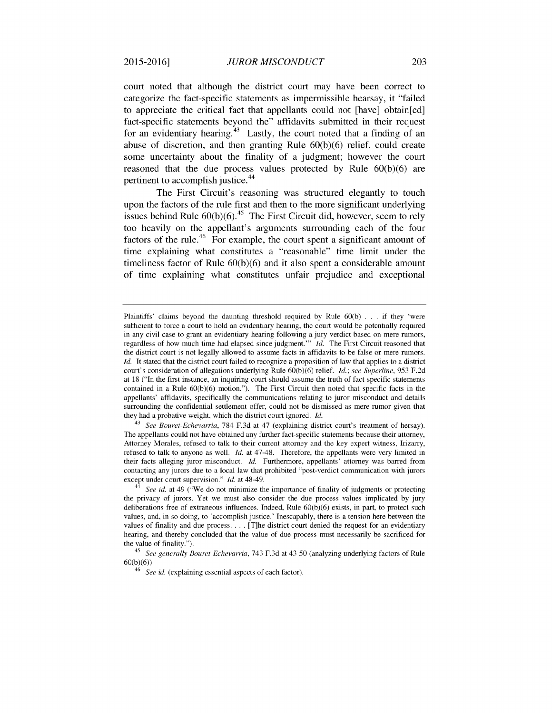court noted that although the district court may have been correct to categorize the fact-specific statements as impermissible hearsay, it "failed to appreciate the critical fact that appellants could not [have] obtain[ed] fact-specific statements beyond the" affidavits submitted in their request for an evidentiary hearing.<sup>43</sup> Lastly, the court noted that a finding of an abuse of discretion, and then granting Rule **60(b)(6)** relief, could create some uncertainty about the finality of a judgment; however the court reasoned that the due process values protected **by** Rule **60(b)(6)** are pertinent to accomplish justice.<sup>44</sup>

The First Circuit's reasoning was structured elegantly to touch upon the factors of the rule first and then to the more significant underlying issues behind Rule  $60(b)(6)$ <sup>45</sup> The First Circuit did, however, seem to rely too heavily on the appellant's arguments surrounding each of the four factors of the rule.<sup>46</sup> For example, the court spent a significant amount of time explaining what constitutes a "reasonable" time limit under the timeliness factor of Rule **60(b)(6)** and it also spent a considerable amount of time explaining what constitutes unfair prejudice and exceptional

<sup>43</sup>*See Bouret-Echevarria,* 784 F.3d at 47 (explaining district court's treatment of hersay). The appellants could not have obtained any further fact-specific statements because their attorney, Attorney Morales, refused to talk to their current attorney and the key expert witness, Irizarry, refused to talk to anyone as well.  $Id.$  at 47-48. Therefore, the appellants were very limited in their facts alleging juror misconduct. ld. Furthermore, appellants' attorney was barred from contacting any jurors due to a local law that prohibited "post-verdict communication with jurors except under court supervision." *Id.* at 48-49.

Plaintiffs' claims beyond the daunting threshold required by Rule 60(b) . ..if they 'were sufficient to force a court to hold an evidentiary hearing, the court would be potentially required in any civil case to grant an evidentiary hearing following a jury verdict based on mere rumors, regardless of how much time had elapsed since judgment."" Id. The First Circuit reasoned that the district court is not legally allowed to assume facts in affidavits to be false or mere rumors. *Id.* It stated that the district court failed to recognize a proposition of law that applies to a district court's consideration of allegations underlying Rule 60(b)(6) relief, ld.; *see Superline,* 953 F.2d at 18 ("In the first instance, an inquiring court should assume the truth of fact-specific statements contained in a Rule 60(b)(6) motion."). The First Circuit then noted that specific facts in the appellants' affidavits, specifically the communications relating to juror misconduct and details surrounding the confidential settlement offer, could not be dismissed as mere rumor given that they had a probative weight, which the district court ignored. *Id.*

<sup>44</sup>*See* id. at 49 ("We do not minimize the importance of finality of judgments or protecting the privacy of jurors. Yet we must also consider the due process values implicated by jury deliberations free of extraneous influences. Indeed, Rule 60(b)(6) exists, in part, to protect such values, and, in so doing, to 'accomplish justice.' Inescapably, there is a tension here between the values of finality and due process **....** [T]he district court denied the request for an evidentiary hearing, and thereby concluded that the value of due process must necessarily be sacrificed for the value of finality.").

<sup>45</sup>*See generally Bouret-Echevarria,* 743 F.3d at 43-50 (analyzing underlying factors of Rule 60(b)(6)).

<sup>&</sup>lt;sup>6</sup> See id. (explaining essential aspects of each factor).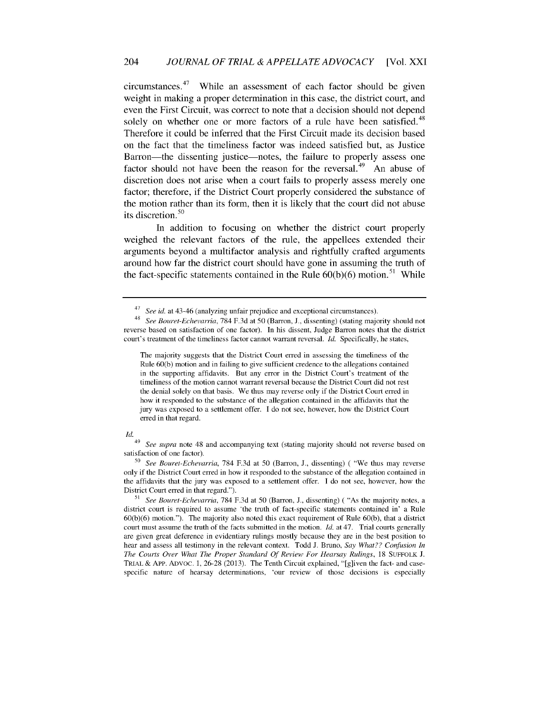$circumstances.<sup>47</sup>$  While an assessment of each factor should be given weight in making a proper determination in this case, the district court, and even the First Circuit, was correct to note that a decision should not depend solely on whether one or more factors of a rule have been satisfied.<sup>48</sup> Therefore it could be inferred that the First Circuit made its decision based on the fact that the timeliness factor was indeed satisfied but, as Justice Barron—the dissenting justice—notes, the failure to properly assess one factor should not have been the reason for the reversal.<sup>49</sup> An abuse of discretion does not arise when a court fails to properly assess merely one factor; therefore, if the District Court properly considered the substance of the motion rather than its form, then it is likely that the court did not abuse its discretion.<sup>50</sup>

In addition to focusing on whether the district court properly weighed the relevant factors of the rule, the appellees extended their arguments beyond a multifactor analysis and rightfully crafted arguments around how far the district court should have gone in assuming the truth of the fact-specific statements contained in the Rule  $60(b)(6)$  motion.<sup>51</sup> While

The majority suggests that the District Court erred in assessing the timeliness of the Rule 60(b) motion and in failing to give sufficient credence to the allegations contained in the supporting affidavits. But any error in the District Court's treatment of the timeliness of the motion cannot warrant reversal because the District Court did not rest the denial solely on that basis. We thus may reverse only if the District Court erred in how it responded to the substance of the allegation contained in the affidavits that the jury was exposed to a settlement offer. I do not see, however, how the District Court erred in that regard.

#### *Id.*

**<sup>51</sup>***See Bouret-Echevarria,* 784 F.3d at 50 (Barron, J., dissenting) ( "As the majority notes, a district court is required to assume 'the truth of fact-specific statements contained in' a Rule 60(b)(6) motion."). The majority also noted this exact requirement of Rule 60(b), that a district court must assume the truth of the facts submitted in the motion. *Id.* at 47. Trial courts generally are given great deference in evidentiary rulings mostly because they are in the best position to hear and assess all testimony in the relevant context. Todd J. Bruno, *Say What?? Confusion In The Courts* Over *What The Proper Standard Of Review For Hearsay Rulings,* 18 SUFFOLK J. TRIAL & APP. ADVoc. 1, 26-28 (2013). The Tenth Circuit explained, "[g]iven the fact- and casespecific nature of hearsay determinations, 'our review of those decisions is especially

<sup>47</sup>*See* id. at 43-46 (analyzing unfair prejudice and exceptional circumstances).

<sup>48</sup>*See Bouret-Echevarria,* 784 F.3d at 50 (Barron, J., dissenting) (stating majority should not reverse based on satisfaction of one factor). In his dissent, Judge Barron notes that the district court's treatment of the timeliness factor cannot warrant reversal. *Id.* Specifically, he states,

<sup>49</sup>*See supra* note 48 and accompanying text (stating majority should not reverse based on satisfaction of one factor).

**<sup>50</sup>***See Bouret-Echevarria,* 784 F.3d at 50 (Barron, J., dissenting) ( "We thus may reverse only if the District Court erred in how it responded to the substance of the allegation contained in the affidavits that the jury was exposed to a settlement offer. I do not see, however, how the District Court erred in that regard.").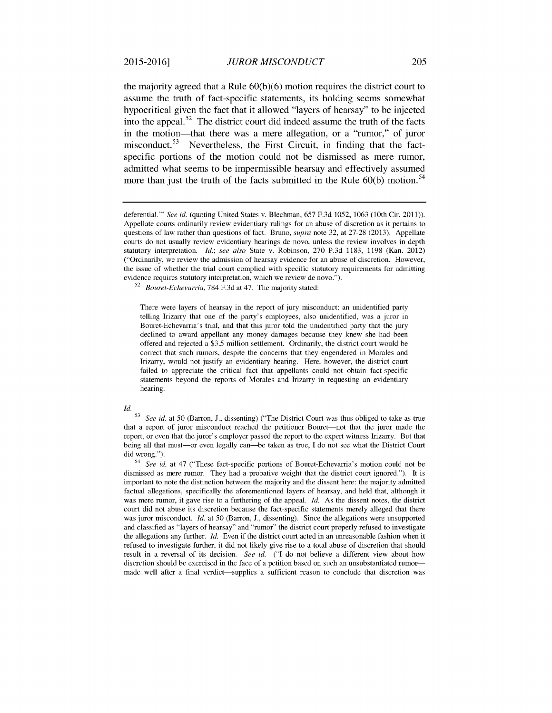the majority agreed that a Rule **60(b)(6)** motion requires the district court to assume the truth of fact-specific statements, its holding seems somewhat hypocritical given the fact that it allowed "layers of hearsay" to be injected into the appeal. $52$  The district court did indeed assume the truth of the facts in the motion-that there was a mere allegation, or a "rumor," of juror misconduct.<sup>53</sup> Nevertheless, the First Circuit, in finding that the factspecific portions of the motion could not be dismissed as mere rumor, admitted what seems to be impermissible hearsay and effectively assumed more than just the truth of the facts submitted in the Rule 60(b) motion.<sup>54</sup>

<sup>52</sup>*Bouret-Echevarria,* 784 F.3d at 47. The majority stated:

There were layers of hearsay in the report of jury misconduct: an unidentified party telling Irizarry that one of the party's employees, also unidentified, was a juror in Bouret-Echevarria's trial, and that this juror told the unidentified party that the jury declined to award appellant any money damages because they knew she had been offered and rejected a \$3.5 million settlement. Ordinarily, the district court would be correct that such rumors, despite the concerns that they engendered in Morales and Irizarry, would not justify an evidentiary hearing. Here, however, the district court failed to appreciate the critical fact that appellants could not obtain fact-specific statements beyond the reports of Morales and Irizarry in requesting an evidentiary hearing.

*Id.*

**<sup>53</sup>***See id.* at 50 (Barron, J., dissenting) ("The District Court was thus obliged to take as true that a report of juror misconduct reached the petitioner Bouret-not that the juror made the report, or even that the juror's employer passed the report to the expert witness Irizarry. But that being all that must-or even legally can-be taken as true, I do not see what the District Court did wrong.").

54 *See* id. at 47 ("These fact-specific portions of Bouret-Echevarria's motion could not be dismissed as mere rumor. They had a probative weight that the district court ignored."). It is important to note the distinction between the majority and the dissent here: the majority admitted factual allegations, specifically the aforementioned layers of hearsay, and held that, although it was mere rumor, it gave rise to a furthering of the appeal. *Id.* As the dissent notes, the district court did not abuse its discretion because the fact-specific statements merely alleged that there was juror misconduct. *Id.* at 50 (Barron, J., dissenting). Since the allegations were unsupported and classified as "layers of hearsay" and "rumor" the district court properly refused to investigate the allegations any further. ld. Even if the district court acted in an unreasonable fashion when it refused to investigate further, it did not likely give rise to a total abuse of discretion that should result in a reversal of its decision. *See id.* ("I do not believe a different view about how discretion should be exercised in the face of a petition based on such an unsubstantiated rumormade well after a final verdict-supplies a sufficient reason to conclude that discretion was

deferential."' *See* id. (quoting United States v. Blechman, 657 F.3d 1052, 1063 (10th Cir. 2011)). Appellate courts ordinarily review evidentiary rulings for an abuse of discretion as it pertains to questions of law rather than questions of fact. Bruno, *supra* note 32, at 27-28 (2013). Appellate courts do not usually review evidentiary hearings de novo, unless the review involves in depth statutory interpretation, ld.; *see also* State v. Robinson, 270 P.3d 1183, 1198 (Kan. 2012) ("Ordinarily, we review the admission of hearsay evidence for an abuse of discretion. However, the issue of whether the trial court complied with specific statutory requirements for admitting evidence requires statutory interpretation, which we review de novo.").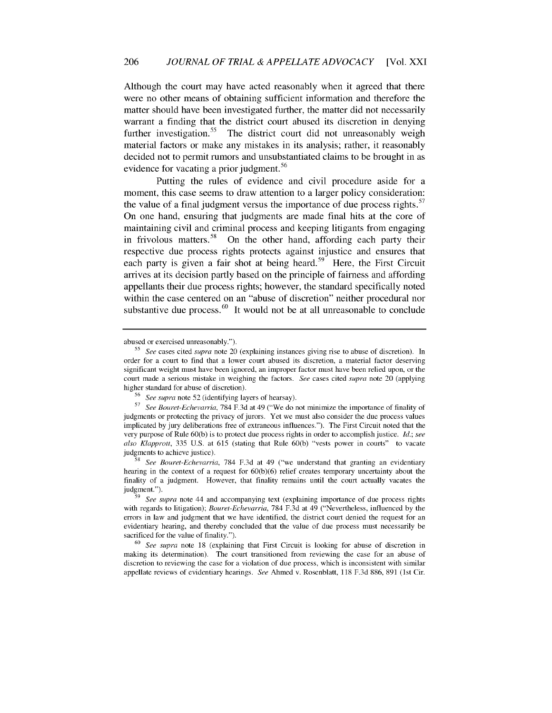Although the court may have acted reasonably when it agreed that there were no other means of obtaining sufficient information and therefore the matter should have been investigated further, the matter did not necessarily warrant a finding that the district court abused its discretion in denying further investigation.<sup>55</sup> The district court did not unreasonably weigh material factors or make any mistakes in its analysis; rather, it reasonably decided not to permit rumors and unsubstantiated claims to be brought in as evidence for vacating a prior judgment.<sup>56</sup>

Putting the rules of evidence and civil procedure aside for a moment, this case seems to draw attention to a larger policy consideration: the value of a final judgment versus the importance of due process rights.<sup>57</sup> On one hand, ensuring that judgments are made final hits at the core of maintaining civil and criminal process and keeping litigants from engaging in frivolous matters.<sup>58</sup> On the other hand, affording each party their respective due process rights protects against injustice and ensures that each party is given a fair shot at being heard.<sup>59</sup> Here, the First Circuit arrives at its decision partly based on the principle of fairness and affording appellants their due process rights; however, the standard specifically noted within the case centered on an "abuse of discretion" neither procedural nor substantive due process.<sup>60</sup> It would not be at all unreasonable to conclude

abused or exercised unreasonably.").

**<sup>55</sup>** *See* cases cited *supra* note 20 (explaining instances giving rise to abuse of discretion). In order for a court to find that a lower court abused its discretion, a material factor deserving significant weight must have been ignored, an improper factor must have been relied upon, or the court made a serious mistake in weighing the factors. *See* cases cited *supra* note 20 (applying higher standard for abuse of discretion).

**<sup>56</sup>***See supra* note 52 (identifying layers of hearsay).

**<sup>57</sup>***See Bouret-Echevarria,* 784 F.3d at 49 ("We do not minimize the importance of finality of judgments or protecting the privacy of jurors. Yet we must also consider the due process values implicated by jury deliberations free of extraneous influences."). The First Circuit noted that the very purpose of Rule 60(b) is to protect due process rights in order to accomplish justice. *Id.; see* also *Klapprott,* 335 U.S. at 615 (stating that Rule 60(b) "vests power in courts" to vacate judgments to achieve justice).

**<sup>58</sup>***See Bouret-Echevarria,* 784 F.3d at 49 ("we understand that granting an evidentiary hearing in the context of a request for  $60(b)(6)$  relief creates temporary uncertainty about the finality of a judgment. However, that finality remains until the court actually vacates the judgment.").

**<sup>59</sup>** *See supra* note 44 and accompanying text (explaining importance of due process rights with regards to litigation); *Bouret-Echevarria,* 784 F.3d at 49 ("Nevertheless, influenced by the errors in law and judgment that we have identified, the district court denied the request for an evidentiary hearing, and thereby concluded that the value of due process must necessarily be sacrificed for the value of finality.").

**<sup>60</sup>***See supra* note 18 (explaining that First Circuit is looking for abuse of discretion in making its determination). The court transitioned from reviewing the case for an abuse of discretion to reviewing the case for a violation of due process, which is inconsistent with similar appellate reviews of evidentiary hearings. *See* Ahmed v. Rosenblatt, 118 F.3d 886, 891 (1st Cir.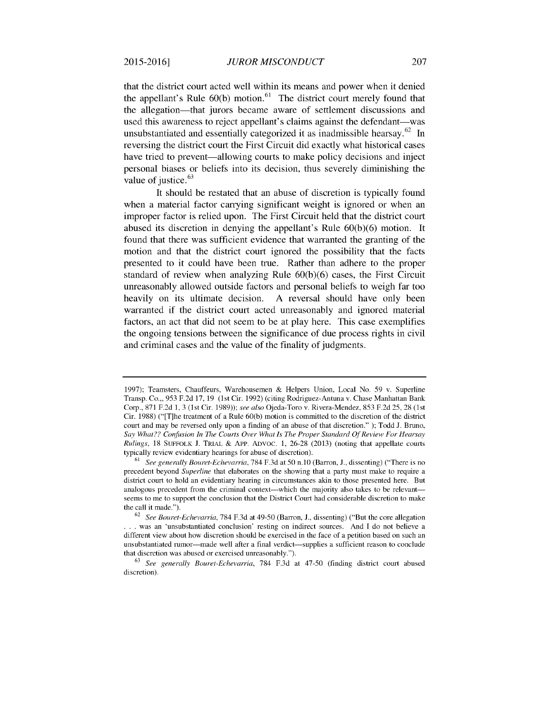that the district court acted well within its means and power when it denied the appellant's Rule  $60(b)$  motion.<sup>61</sup> The district court merely found that the allegation-that jurors became aware of settlement discussions and used this awareness to reject appellant's claims against the defendant—was unsubstantiated and essentially categorized it as inadmissible hearsay.<sup>62</sup> In reversing the district court the First Circuit did exactly what historical cases have tried to prevent—allowing courts to make policy decisions and inject personal biases or beliefs into its decision, thus severely diminishing the value of justice.<sup>63</sup>

It should be restated that an abuse of discretion is typically found when a material factor carrying significant weight is ignored or when an improper factor is relied upon. The First Circuit held that the district court abused its discretion in denying the appellant's Rule 60(b)(6) motion. It found that there was sufficient evidence that warranted the granting of the motion and that the district court ignored the possibility that the facts presented to it could have been true. Rather than adhere to the proper standard of review when analyzing Rule 60(b)(6) cases, the First Circuit unreasonably allowed outside factors and personal beliefs to weigh far too heavily on its ultimate decision. A reversal should have only been warranted if the district court acted unreasonably and ignored material factors, an act that did not seem to be at play here. This case exemplifies the ongoing tensions between the significance of due process rights in civil and criminal cases and the value of the finality of judgments.

<sup>1997);</sup> Teamsters, Chauffeurs, Warehousemen & Helpers Union, Local No. 59 v. Superline Transp. Co.,, 953 F.2d 17, 19 (1st Cir. 1992) (citing Rodriguez-Antuna v. Chase Manhattan Bank Corp., 871 F.2d 1, 3 (1st Cir. 1989)); *see also* Ojeda-Toro v. Rivera-Mendez, 853 F.2d 25, 28 (1st Cir. 1988) ("[T]he treatment of a Rule 60(b) motion is committed to the discretion of the district court and may be reversed only upon a finding of an abuse of that discretion." ); Todd J. Bruno, *Say What?? Confusion In The Courts Over What Is The Proper Standard Of Review For Hearsay* Rulings, 18 SUFFOLK J. TRIAL & APP. ADVOC. 1, 26-28 (2013) (noting that appellate courts typically review evidentiary hearings for abuse of discretion).

<sup>61</sup> *See generally Bouret-Echevarria,* 784 F.3d at 50 n.10 (Barron, J., dissenting) ("There is no precedent beyond *Superline* that elaborates on the showing that a party must make to require a district court to hold an evidentiary hearing in circumstances akin to those presented here. But analogous precedent from the criminal context—which the majority also takes to be relevant seems to me to support the conclusion that the District Court had considerable discretion to make the call it made.").

<sup>62</sup>*See Bouret-Echevarria,* 784 F.3d at 49-50 (Barron, J., dissenting) ("But the core allegation **. . .** was an 'unsubstantiated conclusion' resting on indirect sources. And I do not believe a different view about how discretion should be exercised in the face of a petition based on such an unsubstantiated rumor-made well after a final verdict-supplies a sufficient reason to conclude that discretion was abused or exercised unreasonably.").

<sup>63</sup> *See generally Bouret-Echevarria,* 784 F.3d at 47-50 (finding district court abused discretion).